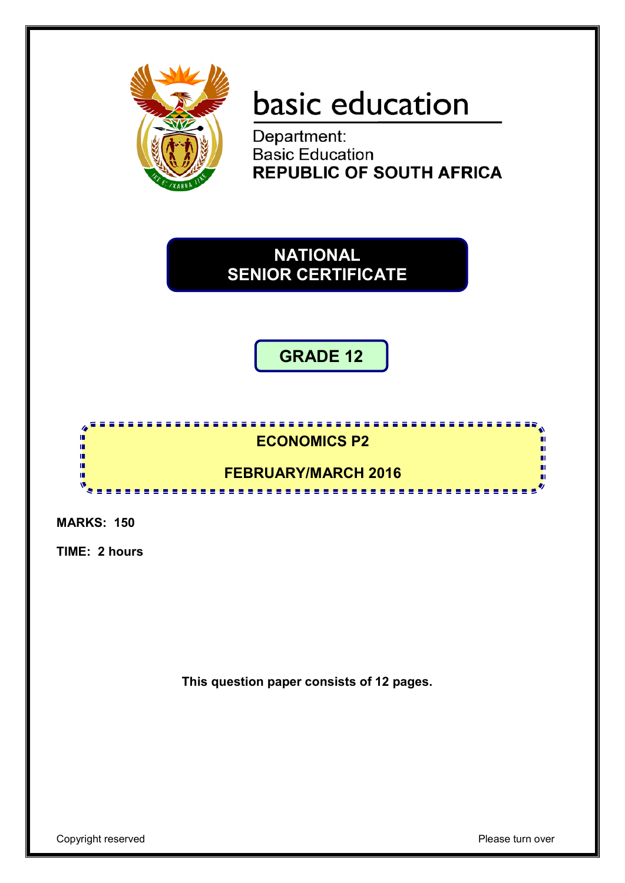

# basic education

Department:<br>Basic Education **REPUBLIC OF SOUTH AFRICA** 

**NATIONAL SENIOR CERTIFICATE**

## **GRADE 12**



**MARKS: 150**

**TIME: 2 hours**

**This question paper consists of 12 pages.**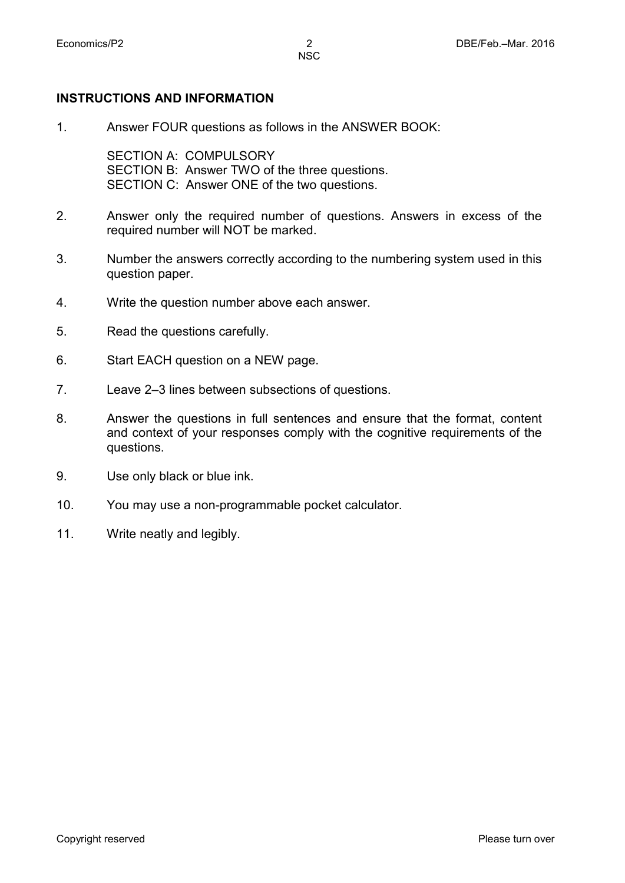1. Answer FOUR questions as follows in the ANSWER BOOK:

SECTION A: COMPULSORY SECTION B: Answer TWO of the three questions. SECTION C: Answer ONE of the two questions.

- 2. Answer only the required number of questions. Answers in excess of the required number will NOT be marked.
- 3. Number the answers correctly according to the numbering system used in this question paper.
- 4. Write the question number above each answer.
- 5. Read the questions carefully.

**INSTRUCTIONS AND INFORMATION**

- 6. Start EACH question on a NEW page.
- 7. Leave 2–3 lines between subsections of questions.
- 8. Answer the questions in full sentences and ensure that the format, content and context of your responses comply with the cognitive requirements of the questions.
- 9. Use only black or blue ink.
- 10. You may use a non-programmable pocket calculator.
- 11. Write neatly and legibly.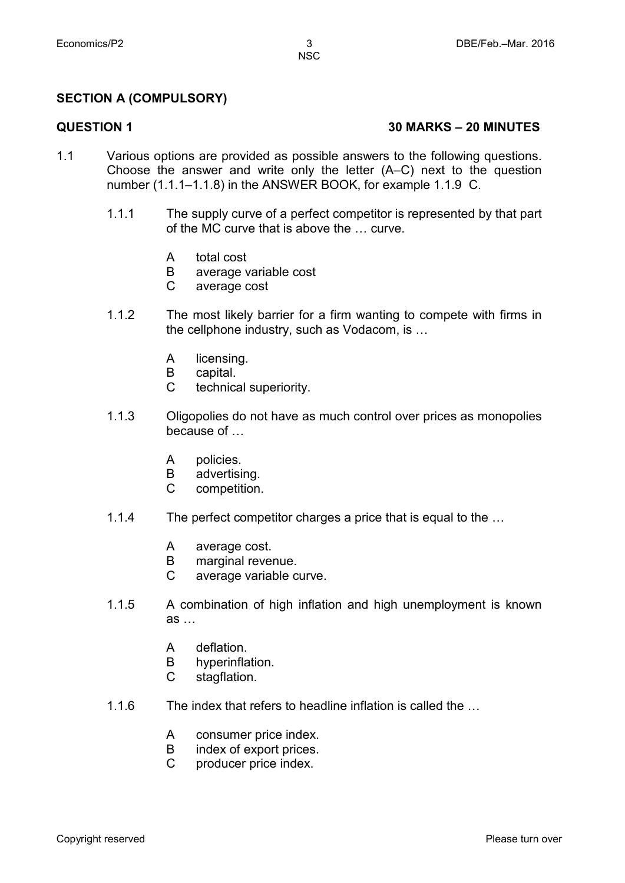### **SECTION A (COMPULSORY)**

#### **QUESTION 1 30 MARKS – 20 MINUTES**

- 1.1 Various options are provided as possible answers to the following questions. Choose the answer and write only the letter (A–C) next to the question number (1.1.1–1.1.8) in the ANSWER BOOK, for example 1.1.9 C.
	- 1.1.1 The supply curve of a perfect competitor is represented by that part of the MC curve that is above the … curve.
		- A total cost
		- B average variable cost
		- $\mathcal{C}$ average cost
	- 1.1.2 The most likely barrier for a firm wanting to compete with firms in the cellphone industry, such as Vodacom, is …
		- A licensing.
		- B capital.
		- $\mathcal{C}$ technical superiority.
	- 1.1.3 Oligopolies do not have as much control over prices as monopolies because of …
		- A policies.
		- B advertising.
		- $\mathcal{C}$ competition.
	- 1.1.4 The perfect competitor charges a price that is equal to the …
		- A average cost.
		- B marginal revenue.
		- $\mathcal{C}$ average variable curve.
	- 1.1.5 A combination of high inflation and high unemployment is known as …
		- A deflation.
		- B hyperinflation.
		- $\mathcal{C}$ stagflation.
	- 1.1.6 The index that refers to headline inflation is called the …
		- A consumer price index.
		- B index of export prices.
		- $\mathcal{C}$ producer price index.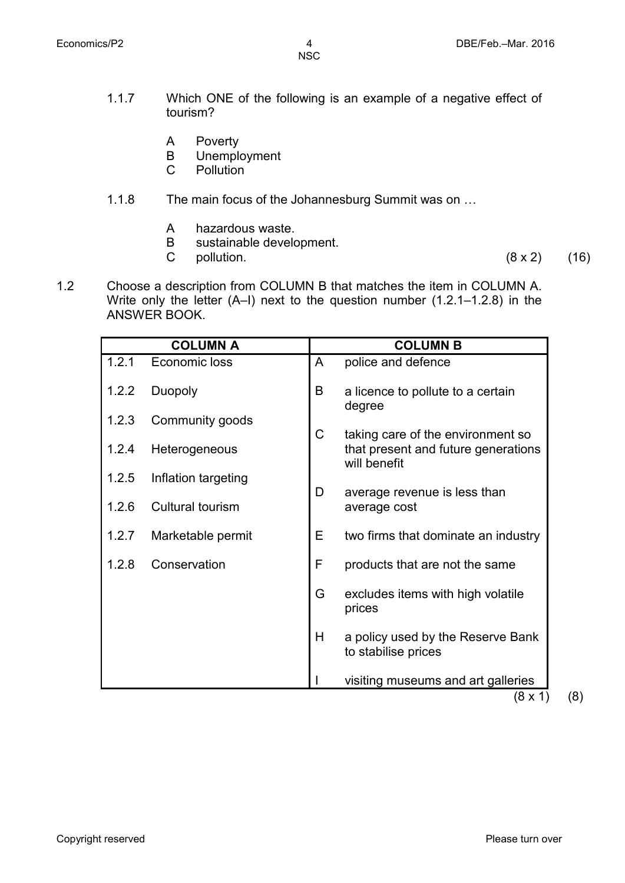- 1.1.7 Which ONE of the following is an example of a negative effect of tourism?
	- A Poverty
	- B Unemployment
	- $\overline{C}$ **Pollution**
- 1.1.8 The main focus of the Johannesburg Summit was on …
	- A hazardous waste.
	- B sustainable development.
	- C

pollution.  $(8 \times 2)$  (16)

1.2 Choose a description from COLUMN B that matches the item in COLUMN A. Write only the letter (A–I) next to the question number (1.2.1–1.2.8) in the ANSWER BOOK.

| <b>COLUMN A</b> |                         |   | <b>COLUMN B</b>                                          |  |  |
|-----------------|-------------------------|---|----------------------------------------------------------|--|--|
| 1.2.1           | Economic loss           | A | police and defence                                       |  |  |
| 1.2.2           | <b>Duopoly</b>          | B | a licence to pollute to a certain<br>degree              |  |  |
| 1.2.3           | Community goods         | C | taking care of the environment so                        |  |  |
| 1.2.4           | Heterogeneous           |   | that present and future generations<br>will benefit      |  |  |
| 1.2.5           | Inflation targeting     |   |                                                          |  |  |
| 1.2.6           | <b>Cultural tourism</b> | D | average revenue is less than<br>average cost             |  |  |
| 1.2.7           | Marketable permit       | Е | two firms that dominate an industry                      |  |  |
| 1.2.8           | Conservation            | F | products that are not the same                           |  |  |
|                 |                         | G | excludes items with high volatile<br>prices              |  |  |
|                 |                         | H | a policy used by the Reserve Bank<br>to stabilise prices |  |  |
|                 |                         |   | visiting museums and art galleries<br>(0, 4)             |  |  |

 $(8 \times 1)$   $(8)$ 

Copyright reserved **Please** turn over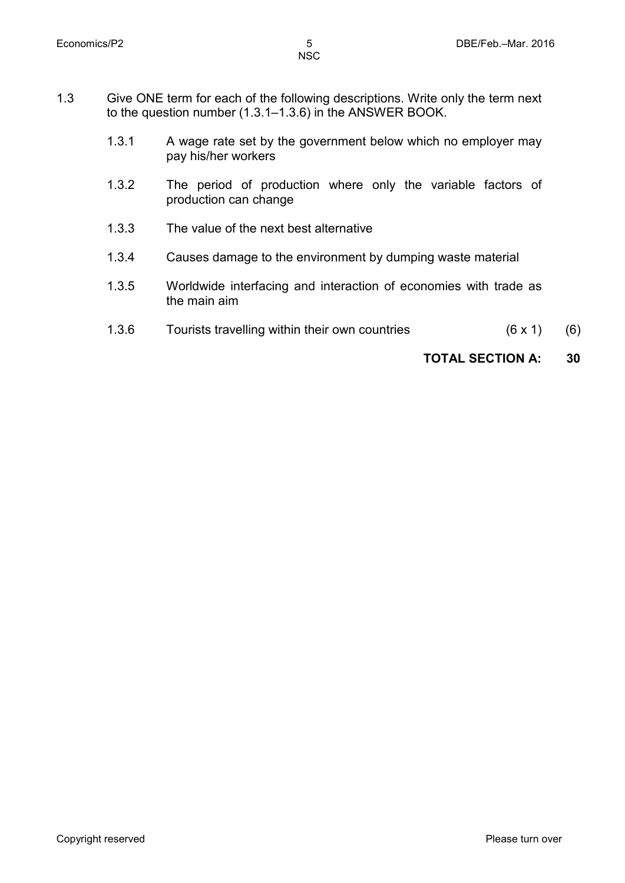- 1.3 Give ONE term for each of the following descriptions. Write only the term next to the question number (1.3.1–1.3.6) in the ANSWER BOOK.
	- 1.3.1 A wage rate set by the government below which no employer may pay his/her workers
	- 1.3.2 The period of production where only the variable factors of production can change
	- 1.3.3 The value of the next best alternative
	- 1.3.4 Causes damage to the environment by dumping waste material
	- 1.3.5 Worldwide interfacing and interaction of economies with trade as the main aim
	- 1.3.6 Tourists travelling within their own countries (6 x 1) (6)

 **TOTAL SECTION A: 30**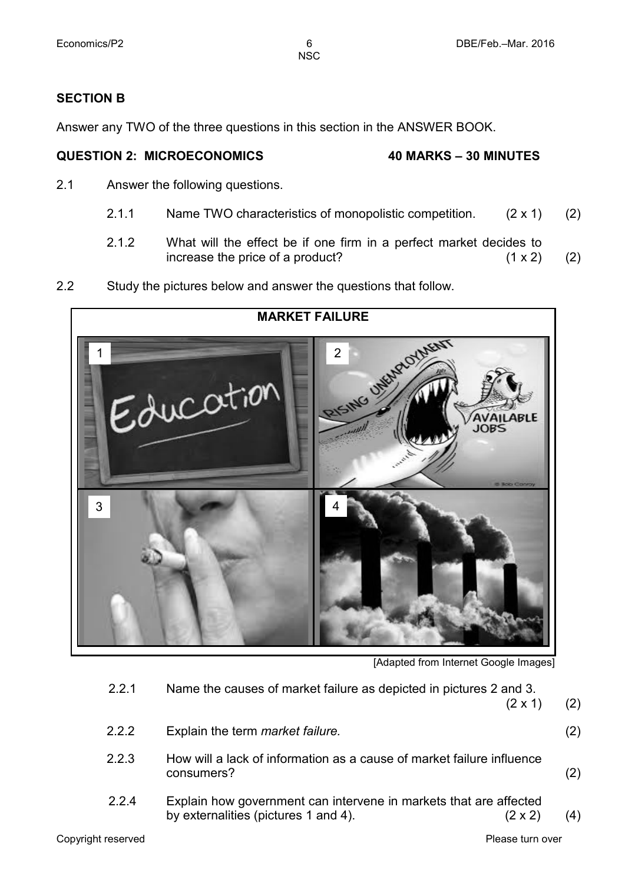### **SECTION B**

Answer any TWO of the three questions in this section in the ANSWER BOOK.

#### **QUESTION 2: MICROECONOMICS 40 MARKS – 30 MINUTES**

- 2.1 Answer the following questions.
	- 2.1.1 Name TWO characteristics of monopolistic competition. (2 x 1) (2)
	- 2.1.2 What will the effect be if one firm in a perfect market decides to increase the price of a product? (1 x 2) increase the price of a product?  $(1 x 2)$  (2)
- 2.2 Study the pictures below and answer the questions that follow.



[Adapted from Internet Google Images]

Copyright reserved **Please turn over the Copyright reserved** Please turn over 2.2.1 Name the causes of market failure as depicted in pictures 2 and 3.  $(2 \times 1)$  (2) 2.2.2 Explain the term *market failure.* (2) 2.2.3 How will a lack of information as a cause of market failure influence consumers? (2) 2.2.4 Explain how government can intervene in markets that are affected by externalities (pictures 1 and 4).  $(2 \times 2)$  (4)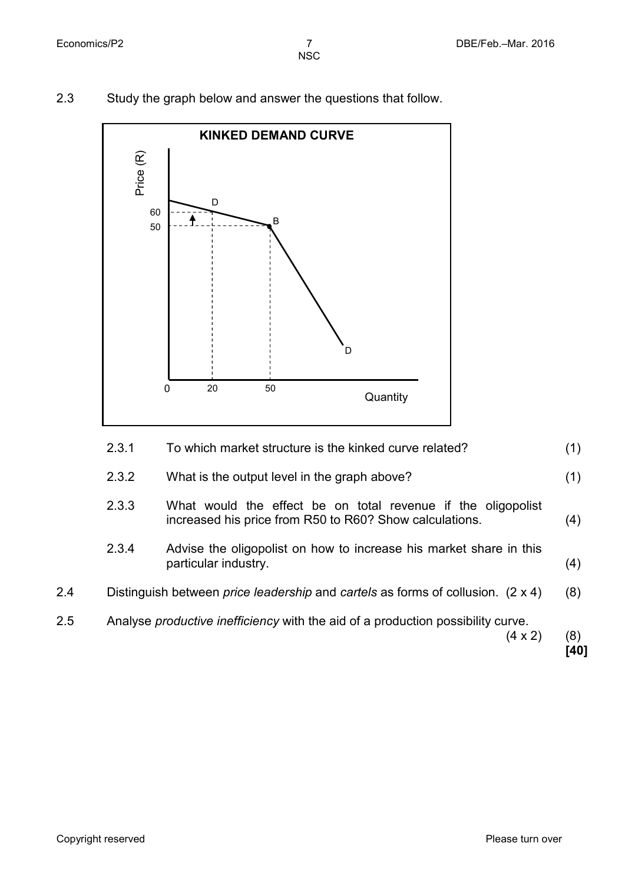

2.3 Study the graph below and answer the questions that follow.



|     |       | $(4 \times 2)$                                                                                                          | (8)<br>[40] |
|-----|-------|-------------------------------------------------------------------------------------------------------------------------|-------------|
| 2.5 |       | Analyse <i>productive inefficiency</i> with the aid of a production possibility curve.                                  |             |
| 2.4 |       | Distinguish between <i>price leadership</i> and <i>cartels</i> as forms of collusion. $(2 \times 4)$                    | (8)         |
|     | 2.3.4 | Advise the oligopolist on how to increase his market share in this<br>particular industry.                              | (4)         |
|     | 2.3.3 | What would the effect be on total revenue if the oligopolist<br>increased his price from R50 to R60? Show calculations. | (4)         |
|     | 2.3.2 | What is the output level in the graph above?                                                                            | (1)         |
|     | 2.3.1 | To which market structure is the kinked curve related?                                                                  | (1)         |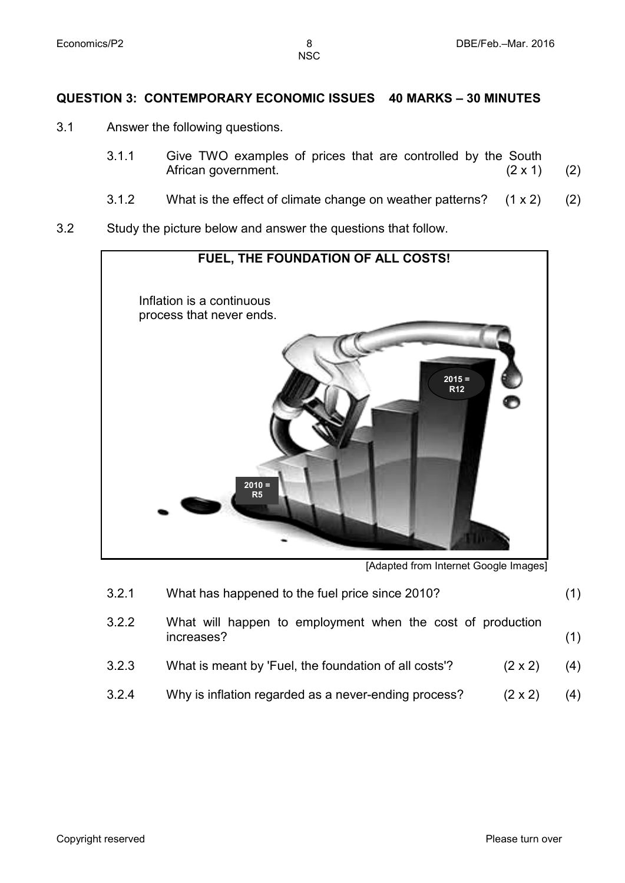#### **QUESTION 3: CONTEMPORARY ECONOMIC ISSUES 40 MARKS – 30 MINUTES**

- 3.1 Answer the following questions.
	- 3.1.1 Give TWO examples of prices that are controlled by the South<br>African government. (2 x 1) African government.  $(2 \times 1)$  (2)
	- 3.1.2 What is the effect of climate change on weather patterns? (1 x 2) (2)
- 3.2 Study the picture below and answer the questions that follow.



[Adapted from Internet Google Images]

| 3.2.1 | What has happened to the fuel price since 2010?                          | (1) |
|-------|--------------------------------------------------------------------------|-----|
| 3.2.2 | What will happen to employment when the cost of production<br>increases? | (1) |
| 3.2.3 | What is meant by 'Fuel, the foundation of all costs'?<br>$(2 \times 2)$  | (4) |
| 3.2.4 | Why is inflation regarded as a never-ending process?<br>$(2 \times 2)$   | (4) |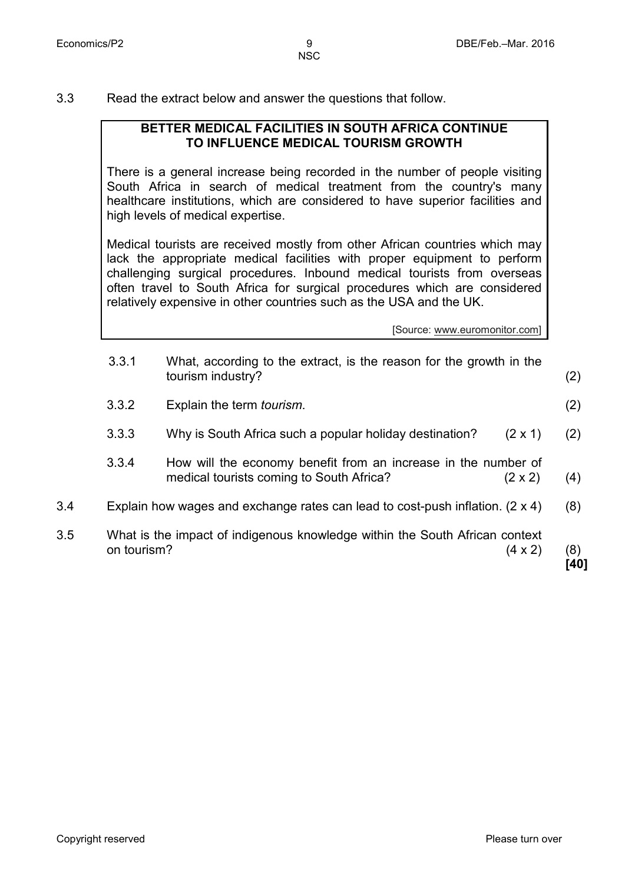3.3 Read the extract below and answer the questions that follow.

#### **BETTER MEDICAL FACILITIES IN SOUTH AFRICA CONTINUE TO INFLUENCE MEDICAL TOURISM GROWTH**

There is a general increase being recorded in the number of people visiting South Africa in search of medical treatment from the country's many healthcare institutions, which are considered to have superior facilities and high levels of medical expertise.

Medical tourists are received mostly from other African countries which may lack the appropriate medical facilities with proper equipment to perform challenging surgical procedures. Inbound medical tourists from overseas often travel to South Africa for surgical procedures which are considered relatively expensive in other countries such as the USA and the UK.

[Source: www.euromonitor.com]

|     | 3.3.1       | What, according to the extract, is the reason for the growth in the<br>tourism industry?                   |                | (2)         |
|-----|-------------|------------------------------------------------------------------------------------------------------------|----------------|-------------|
|     | 3.3.2       | Explain the term <i>tourism</i> .                                                                          |                | (2)         |
|     | 3.3.3       | Why is South Africa such a popular holiday destination?                                                    | $(2 \times 1)$ | (2)         |
|     | 3.3.4       | How will the economy benefit from an increase in the number of<br>medical tourists coming to South Africa? | $(2 \times 2)$ | (4)         |
| 3.4 |             | Explain how wages and exchange rates can lead to cost-push inflation. (2 x 4)                              |                | (8)         |
| 3.5 | on tourism? | What is the impact of indigenous knowledge within the South African context                                | $(4 \times 2)$ | (8)<br>[40] |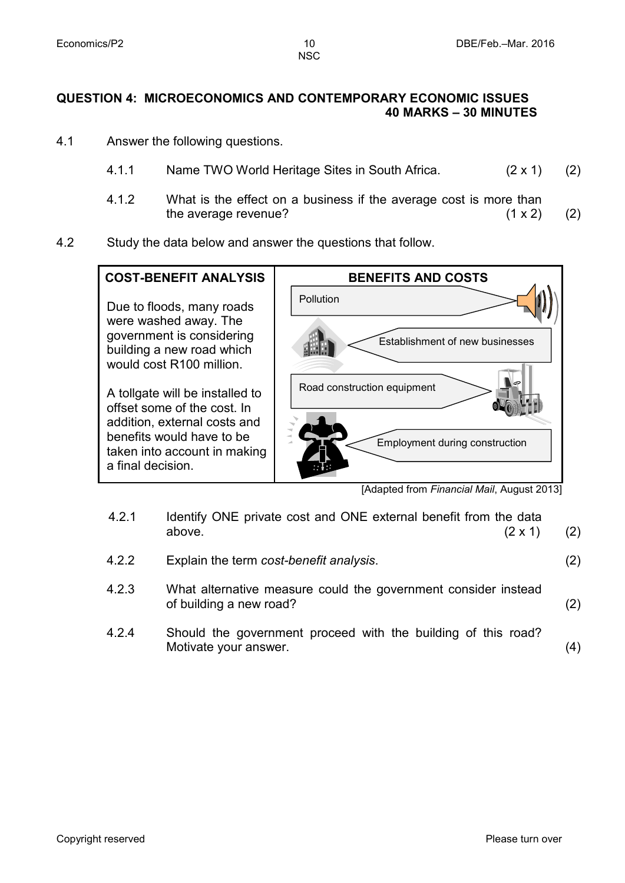### **QUESTION 4: MICROECONOMICS AND CONTEMPORARY ECONOMIC ISSUES 40 MARKS – 30 MINUTES**

- 4.1 Answer the following questions.
	- 4.1.1 Name TWO World Heritage Sites in South Africa. (2 x 1) (2)
	- 4.1.2 What is the effect on a business if the average cost is more than the average revenue?  $(1 \times 2)$  (2)
- 4.2 Study the data below and answer the questions that follow.



<sup>[</sup>Adapted from *Financial Mail*, August 2013]

| 4.2.1 | Identify ONE private cost and ONE external benefit from the data<br>above. | $(2 \times 1)$ | (2) |
|-------|----------------------------------------------------------------------------|----------------|-----|
| 4.2.2 | Explain the term cost-benefit analysis.                                    |                | (2) |

- 4.2.3 What alternative measure could the government consider instead of building a new road? (2)
- 4.2.4 Should the government proceed with the building of this road? Motivate your answer. (4)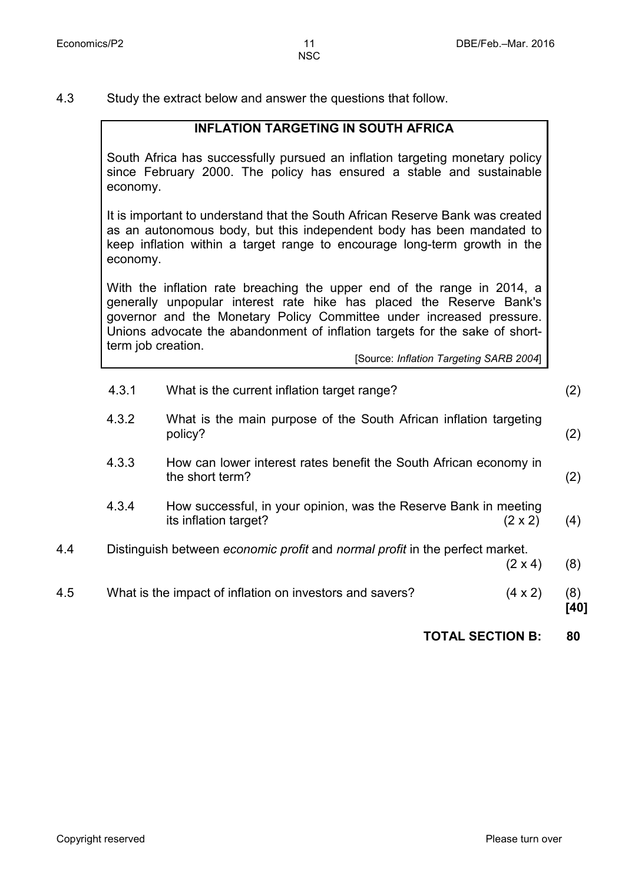4.3 Study the extract below and answer the questions that follow.

### **INFLATION TARGETING IN SOUTH AFRICA**

South Africa has successfully pursued an inflation targeting monetary policy since February 2000. The policy has ensured a stable and sustainable economy.

It is important to understand that the South African Reserve Bank was created as an autonomous body, but this independent body has been mandated to keep inflation within a target range to encourage long-term growth in the economy.

With the inflation rate breaching the upper end of the range in 2014, a generally unpopular interest rate hike has placed the Reserve Bank's governor and the Monetary Policy Committee under increased pressure. Unions advocate the abandonment of inflation targets for the sake of shortterm job creation.

[Source: *Inflation Targeting SARB 2004*]

|     | 4.3.1 | What is the current inflation target range?                                                |                | (2)         |
|-----|-------|--------------------------------------------------------------------------------------------|----------------|-------------|
|     | 4.3.2 | What is the main purpose of the South African inflation targeting<br>policy?               |                | (2)         |
|     | 4.3.3 | How can lower interest rates benefit the South African economy in<br>the short term?       |                | (2)         |
|     | 4.3.4 | How successful, in your opinion, was the Reserve Bank in meeting<br>its inflation target?  | $(2 \times 2)$ | (4)         |
| 4.4 |       | Distinguish between <i>economic profit</i> and <i>normal profit</i> in the perfect market. | $(2 \times 4)$ | (8)         |
| 4.5 |       | What is the impact of inflation on investors and savers?                                   | $(4 \times 2)$ | (8)<br>[40] |
|     |       |                                                                                            |                |             |

**TOTAL SECTION B: 80**